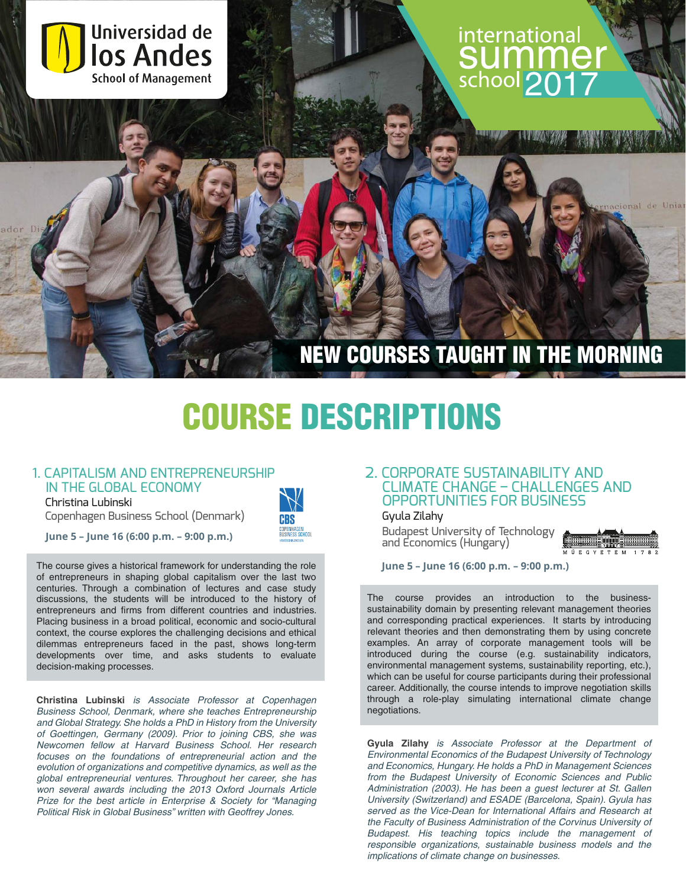

# COURSE DESCRIPTIONS

#### 1. CAPITALISM AND ENTREPRENEURSHIP IN THE GLOBAL ECONOMY

Christina Lubinski

Copenhagen Business School (Denmark)

**June 5 – June 16 (6:00 p.m. – 9:00 p.m.)**

The course gives a historical framework for understanding the role of entrepreneurs in shaping global capitalism over the last two centuries. Through a combination of lectures and case study discussions, the students will be introduced to the history of entrepreneurs and firms from different countries and industries. Placing business in a broad political, economic and socio-cultural context, the course explores the challenging decisions and ethical dilemmas entrepreneurs faced in the past, shows long-term developments over time, and asks students to evaluate decision-making processes.

**Christina Lubinski** is Associate Professor at Copenhagen Business School, Denmark, where she teaches Entrepreneurship and Global Strategy. She holds a PhD in History from the University of Goettingen, Germany (2009). Prior to joining CBS, she was Newcomen fellow at Harvard Business School. Her research focuses on the foundations of entrepreneurial action and the evolution of organizations and competitive dynamics, as well as the global entrepreneurial ventures. Throughout her career, she has won several awards including the 2013 Oxford Journals Article Prize for the best article in Enterprise & Society for "Managing Political Risk in Global Business" written with Geoffrey Jones.

# 2. CORPORATE SUSTAINABILITY AND CLIMATE CHANGE – CHALLENGES AND OPPORTUNITIES FOR BUSINESS

Gyula Zilahy

Budapest University of Technology and Economics (Hungary)



**June 5 – June 16 (6:00 p.m. – 9:00 p.m.)**

The course provides an introduction to the businesssustainability domain by presenting relevant management theories and corresponding practical experiences. It starts by introducing relevant theories and then demonstrating them by using concrete examples. An array of corporate management tools will be introduced during the course (e.g. sustainability indicators, environmental management systems, sustainability reporting, etc.), which can be useful for course participants during their professional career. Additionally, the course intends to improve negotiation skills through a role-play simulating international climate change negotiations.

**Gyula Zilahy** is Associate Professor at the Department of Environmental Economics of the Budapest University of Technology and Economics, Hungary. He holds a PhD in Management Sciences from the Budapest University of Economic Sciences and Public Administration (2003). He has been a guest lecturer at St. Gallen University (Switzerland) and ESADE (Barcelona, Spain). Gyula has served as the Vice-Dean for International Affairs and Research at the Faculty of Business Administration of the Corvinus University of Budapest. His teaching topics include the management of responsible organizations, sustainable business models and the implications of climate change on businesses.

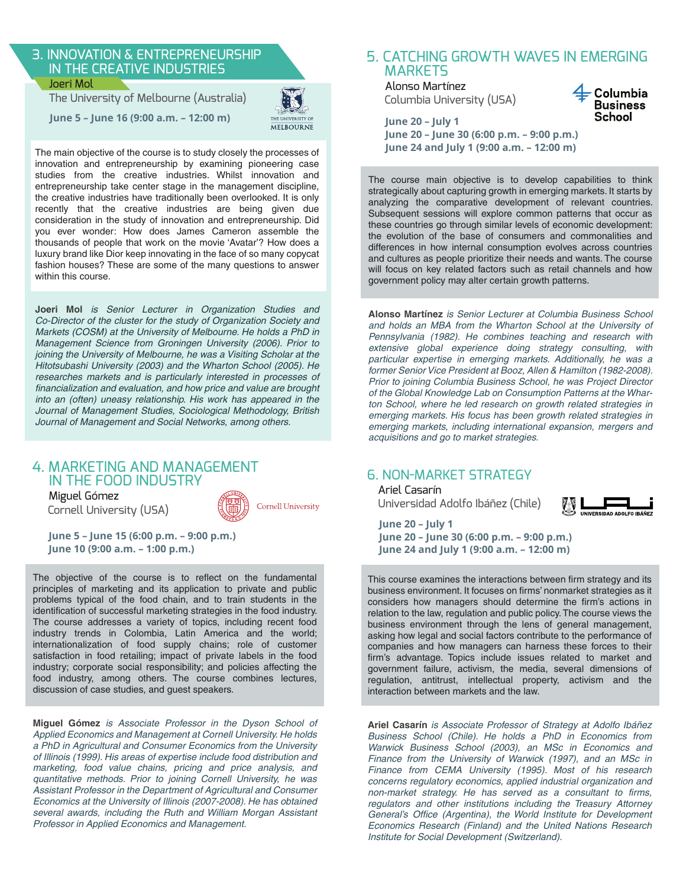#### 3. INNOVATION & ENTREPRENEURSHIP IN THE CREATIVE INDUSTRIES Joeri Mol

The University of Melbourne (Australia)

**June 5 – June 16 (9:00 a.m. – 12:00 m)**



The main objective of the course is to study closely the processes of innovation and entrepreneurship by examining pioneering case studies from the creative industries. Whilst innovation and entrepreneurship take center stage in the management discipline, the creative industries have traditionally been overlooked. It is only recently that the creative industries are being given due consideration in the study of innovation and entrepreneurship. Did you ever wonder: How does James Cameron assemble the thousands of people that work on the movie 'Avatar'? How does a luxury brand like Dior keep innovating in the face of so many copycat fashion houses? These are some of the many questions to answer within this course.

**Joeri Mol** is Senior Lecturer in Organization Studies and Co-Director of the cluster for the study of Organization Society and Markets (COSM) at the University of Melbourne. He holds a PhD in Management Science from Groningen University (2006). Prior to joining the University of Melbourne, he was a Visiting Scholar at the Hitotsubashi University (2003) and the Wharton School (2005). He researches markets and is particularly interested in processes of financialization and evaluation, and how price and value are brought into an (often) uneasy relationship. His work has appeared in the Journal of Management Studies, Sociological Methodology, British Journal of Management and Social Networks, among others.

# 4. MARKETING AND MANAGEMENT IN THE FOOD INDUSTRY

 Miguel Gómez Cornell University (USA)



**June 5 – June 15 (6:00 p.m. – 9:00 p.m.) June 10 (9:00 a.m. – 1:00 p.m.)**

The objective of the course is to reflect on the fundamental principles of marketing and its application to private and public problems typical of the food chain, and to train students in the identification of successful marketing strategies in the food industry. The course addresses a variety of topics, including recent food industry trends in Colombia, Latin America and the world; internationalization of food supply chains; role of customer satisfaction in food retailing; impact of private labels in the food industry; corporate social responsibility; and policies affecting the food industry, among others. The course combines lectures, discussion of case studies, and guest speakers.

**Miguel Gómez** is Associate Professor in the Dyson School of Applied Economics and Management at Cornell University. He holds a PhD in Agricultural and Consumer Economics from the University of Illinois (1999). His areas of expertise include food distribution and marketing, food value chains, pricing and price analysis, and quantitative methods. Prior to joining Cornell University, he was Assistant Professor in the Department of Agricultural and Consumer Economics at the University of Illinois (2007-2008). He has obtained several awards, including the Ruth and William Morgan Assistant Professor in Applied Economics and Management.

#### 5. CATCHING GROWTH WAVES IN EMERGING **MARKETS**

Alonso Martínez Columbia University (USA)



**June 20 – July 1 June 20 – June 30 (6:00 p.m. – 9:00 p.m.) June 24 and July 1 (9:00 a.m. – 12:00 m)**

The course main objective is to develop capabilities to think strategically about capturing growth in emerging markets. It starts by analyzing the comparative development of relevant countries. Subsequent sessions will explore common patterns that occur as these countries go through similar levels of economic development: the evolution of the base of consumers and commonalities and differences in how internal consumption evolves across countries and cultures as people prioritize their needs and wants. The course will focus on key related factors such as retail channels and how government policy may alter certain growth patterns.

**Alonso Martínez** is Senior Lecturer at Columbia Business School and holds an MBA from the Wharton School at the University of Pennsylvania (1982). He combines teaching and research with extensive global experience doing strategy consulting, with particular expertise in emerging markets. Additionally, he was a former Senior Vice President at Booz, Allen & Hamilton (1982-2008). Prior to joining Columbia Business School, he was Project Director of the Global Knowledge Lab on Consumption Patterns at the Wharton School, where he led research on growth related strategies in emerging markets. His focus has been growth related strategies in emerging markets, including international expansion, mergers and acquisitions and go to market strategies.

### 6. NON-MARKET STRATEGY

Ariel Casarín Universidad Adolfo Ibáñez (Chile)



**June 20 – July 1 June 20 – June 30 (6:00 p.m. – 9:00 p.m.) June 24 and July 1 (9:00 a.m. – 12:00 m)**

This course examines the interactions between firm strategy and its business environment. It focuses on firms' nonmarket strategies as it considers how managers should determine the firm's actions in relation to the law, regulation and public policy. The course views the business environment through the lens of general management, asking how legal and social factors contribute to the performance of companies and how managers can harness these forces to their firm's advantage. Topics include issues related to market and government failure, activism, the media, several dimensions of regulation, antitrust, intellectual property, activism and the interaction between markets and the law.

**Ariel Casarín** is Associate Professor of Strategy at Adolfo Ibáñez Business School (Chile). He holds a PhD in Economics from Warwick Business School (2003), an MSc in Economics and Finance from the University of Warwick (1997), and an MSc in Finance from CEMA University (1995). Most of his research concerns regulatory economics, applied industrial organization and non-market strategy. He has served as a consultant to firms, regulators and other institutions including the Treasury Attorney General's Office (Argentina), the World Institute for Development Economics Research (Finland) and the United Nations Research Institute for Social Development (Switzerland).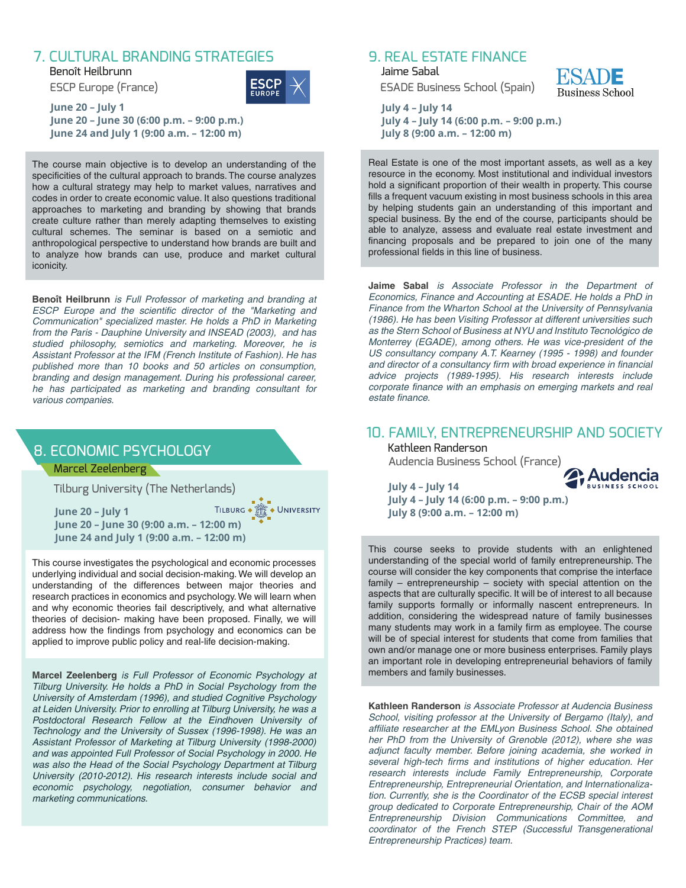# 7. CULTURAL BRANDING STRATEGIES

Benoît Heilbrunn ESCP Europe (France)



**June 20 – July 1 June 20 – June 30 (6:00 p.m. – 9:00 p.m.) June 24 and July 1 (9:00 a.m. – 12:00 m)**

The course main objective is to develop an understanding of the specificities of the cultural approach to brands. The course analyzes how a cultural strategy may help to market values, narratives and codes in order to create economic value. It also questions traditional approaches to marketing and branding by showing that brands create culture rather than merely adapting themselves to existing cultural schemes. The seminar is based on a semiotic and anthropological perspective to understand how brands are built and to analyze how brands can use, produce and market cultural iconicity.

**Benoît Heilbrunn** is Full Professor of marketing and branding at ESCP Europe and the scientific director of the "Marketing and Communication" specialized master. He holds a PhD in Marketing from the Paris - Dauphine University and INSEAD (2003), and has studied philosophy, semiotics and marketing. Moreover, he is Assistant Professor at the IFM (French Institute of Fashion). He has published more than 10 books and 50 articles on consumption, branding and design management. During his professional career, he has participated as marketing and branding consultant for various companies.

# 8. ECONOMIC PSYCHOLOGY

#### Marcel Zeelenberg

Tilburg University (The Netherlands)

TILBURG . **SEE** . UNIVERSITY **June 20 – July 1 June 20 – June 30 (9:00 a.m. – 12:00 m) June 24 and July 1 (9:00 a.m. – 12:00 m)**

This course investigates the psychological and economic processes underlying individual and social decision-making. We will develop an understanding of the differences between major theories and research practices in economics and psychology. We will learn when and why economic theories fail descriptively, and what alternative theories of decision- making have been proposed. Finally, we will address how the findings from psychology and economics can be applied to improve public policy and real-life decision-making.

**Marcel Zeelenberg** is Full Professor of Economic Psychology at Tilburg University. He holds a PhD in Social Psychology from the University of Amsterdam (1996), and studied Cognitive Psychology at Leiden University. Prior to enrolling at Tilburg University, he was a Postdoctoral Research Fellow at the Eindhoven University of Technology and the University of Sussex (1996-1998). He was an Assistant Professor of Marketing at Tilburg University (1998-2000) and was appointed Full Professor of Social Psychology in 2000. He was also the Head of the Social Psychology Department at Tilburg University (2010-2012). His research interests include social and economic psychology, negotiation, consumer behavior and marketing communications.

# 9. REAL ESTATE FINANCE

Jaime Sabal ESADE Business School (Spain)



**July 4 – July 14 July 4 – July 14 (6:00 p.m. – 9:00 p.m.) July 8 (9:00 a.m. – 12:00 m)**

Real Estate is one of the most important assets, as well as a key resource in the economy. Most institutional and individual investors hold a significant proportion of their wealth in property. This course fills a frequent vacuum existing in most business schools in this area by helping students gain an understanding of this important and special business. By the end of the course, participants should be able to analyze, assess and evaluate real estate investment and financing proposals and be prepared to join one of the many professional fields in this line of business.

**Jaime Sabal** is Associate Professor in the Department of Economics, Finance and Accounting at ESADE. He holds a PhD in Finance from the Wharton School at the University of Pennsylvania (1986). He has been Visiting Professor at different universities such as the Stern School of Business at NYU and Instituto Tecnológico de Monterrey (EGADE), among others. He was vice-president of the US consultancy company A.T. Kearney (1995 - 1998) and founder and director of a consultancy firm with broad experience in financial advice projects (1989-1995). His research interests include corporate finance with an emphasis on emerging markets and real estate finance.

# 10. FAMILY, ENTREPRENEURSHIP AND SOCIETYKathleen Randerson

Audencia Business School (France)



**July 4 – July 14 July 4 – July 14 (6:00 p.m. – 9:00 p.m.) July 8 (9:00 a.m. – 12:00 m)**

This course seeks to provide students with an enlightened understanding of the special world of family entrepreneurship. The course will consider the key components that comprise the interface family – entrepreneurship – society with special attention on the aspects that are culturally specific. It will be of interest to all because family supports formally or informally nascent entrepreneurs. In addition, considering the widespread nature of family businesses many students may work in a family firm as employee. The course will be of special interest for students that come from families that own and/or manage one or more business enterprises. Family plays an important role in developing entrepreneurial behaviors of family members and family businesses.

**Kathleen Randerson** is Associate Professor at Audencia Business School, visiting professor at the University of Bergamo (Italy), and affiliate researcher at the EMLyon Business School. She obtained her PhD from the University of Grenoble (2012), where she was adjunct faculty member. Before joining academia, she worked in several high-tech firms and institutions of higher education. Her research interests include Family Entrepreneurship, Corporate Entrepreneurship, Entrepreneurial Orientation, and Internationalization. Currently, she is the Coordinator of the ECSB special interest group dedicated to Corporate Entrepreneurship, Chair of the AOM Entrepreneurship Division Communications Committee, and coordinator of the French STEP (Successful Transgenerational Entrepreneurship Practices) team.